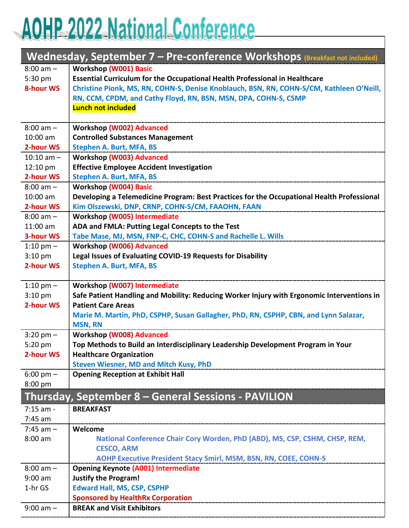# AOHP 2022 National Conference

| Wednesday, September 7 - Pre-conference Workshops (Breakfast not included) |                                                                                            |  |
|----------------------------------------------------------------------------|--------------------------------------------------------------------------------------------|--|
| $8:00$ am $-$                                                              | <b>Workshop (W001) Basic</b>                                                               |  |
| 5:30 pm                                                                    | <b>Essential Curriculum for the Occupational Health Professional in Healthcare</b>         |  |
| <b>8-hour WS</b>                                                           | Christine Pionk, MS, RN, COHN-S, Denise Knoblauch, BSN, RN, COHN-S/CM, Kathleen O'Neill,   |  |
|                                                                            | RN, CCM, CPDM, and Cathy Floyd, RN, BSN, MSN, DPA, COHN-S, CSMP                            |  |
|                                                                            | <b>Lunch not included</b>                                                                  |  |
| $8:00$ am $-$                                                              | <b>Workshop (W002) Advanced</b>                                                            |  |
| 10:00 am                                                                   | <b>Controlled Substances Management</b>                                                    |  |
| 2-hour WS                                                                  | <b>Stephen A. Burt, MFA, BS</b>                                                            |  |
| $10:10$ am $-$                                                             | <b>Workshop (W003) Advanced</b>                                                            |  |
| 12:10 pm                                                                   | <b>Effective Employee Accident Investigation</b>                                           |  |
| 2-hour WS                                                                  | <b>Stephen A. Burt, MFA, BS</b>                                                            |  |
| $8:00$ am $-$                                                              | <b>Workshop (W004) Basic</b>                                                               |  |
| 10:00 am                                                                   | Developing a Telemedicine Program: Best Practices for the Occupational Health Professional |  |
| 2-hour WS                                                                  | Kim Olszewski, DNP, CRNP, COHN-S/CM, FAAOHN, FAAN                                          |  |
| $8:00$ am $-$                                                              | Workshop (W005) Intermediate                                                               |  |
| $11:00$ am                                                                 | ADA and FMLA: Putting Legal Concepts to the Test                                           |  |
| <b>3-hour WS</b>                                                           | Tabe Mase, MJ, MSN, FNP-C, CHC, COHN-S and Rachelle L. Wills                               |  |
| 1:10 pm $-$                                                                | <b>Workshop (W006) Advanced</b>                                                            |  |
| $3:10$ pm                                                                  | Legal Issues of Evaluating COVID-19 Requests for Disability                                |  |
| 2-hour WS                                                                  | <b>Stephen A. Burt, MFA, BS</b>                                                            |  |
|                                                                            |                                                                                            |  |
| 1:10 pm $-$                                                                | Workshop (W007) Intermediate                                                               |  |
| $3:10$ pm                                                                  | Safe Patient Handling and Mobility: Reducing Worker Injury with Ergonomic Interventions in |  |
| 2-hour WS                                                                  | <b>Patient Care Areas</b>                                                                  |  |
|                                                                            | Marie M. Martin, PhD, CSPHP, Susan Gallagher, PhD, RN, CSPHP, CBN, and Lynn Salazar,       |  |
|                                                                            | <b>MSN, RN</b>                                                                             |  |
| $3:20$ pm $-$                                                              | <b>Workshop (W008) Advanced</b>                                                            |  |
| 5:20 pm                                                                    | Top Methods to Build an Interdisciplinary Leadership Development Program in Your           |  |
| 2-hour WS                                                                  | <b>Healthcare Organization</b>                                                             |  |
|                                                                            | <b>Steven Wiesner, MD and Mitch Kusy, PhD</b>                                              |  |
| $6:00 \text{ pm} -$                                                        | <b>Opening Reception at Exhibit Hall</b>                                                   |  |
| 8:00 pm                                                                    |                                                                                            |  |
|                                                                            | Thursday, September 8 - General Sessions - PAVILION                                        |  |
| $7:15$ am -                                                                | <b>BREAKFAST</b>                                                                           |  |
| $7:45$ am                                                                  |                                                                                            |  |
| $7:45$ am $-$                                                              | Welcome                                                                                    |  |
| 8:00 am                                                                    | National Conference Chair Cory Worden, PhD (ABD), MS, CSP, CSHM, CHSP, REM,                |  |
|                                                                            | <b>CESCO, ARM</b>                                                                          |  |
|                                                                            | <b>AOHP Executive President Stacy Smirl, MSM, BSN, RN, COEE, COHN-S</b>                    |  |
| $8:00$ am $-$                                                              | <b>Opening Keynote (A001) Intermediate</b>                                                 |  |
| $9:00$ am                                                                  | <b>Justify the Program!</b>                                                                |  |
| 1-hr GS                                                                    | <b>Edward Hall, MS, CSP, CSPHP</b>                                                         |  |
|                                                                            | <b>Sponsored by HealthRx Corporation</b>                                                   |  |
| $9:00$ am $-$                                                              | <b>BREAK and Visit Exhibitors</b>                                                          |  |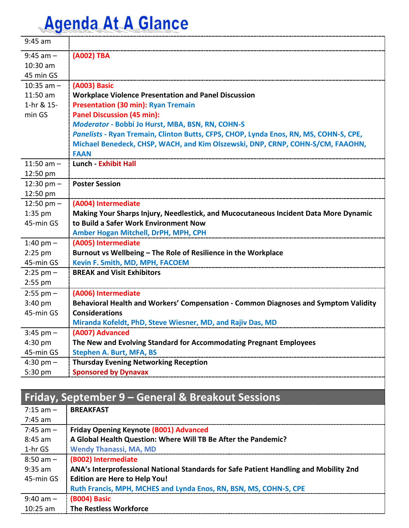| $9:45$ am      |                                                                                       |
|----------------|---------------------------------------------------------------------------------------|
| $9:45$ am $-$  | (A002) TBA                                                                            |
| 10:30 am       |                                                                                       |
| 45 min GS      |                                                                                       |
| $10:35$ am $-$ | (A003) Basic                                                                          |
| 11:50 am       | <b>Workplace Violence Presentation and Panel Discussion</b>                           |
| 1-hr & 15-     | <b>Presentation (30 min): Ryan Tremain</b>                                            |
| min GS         | <b>Panel Discussion (45 min):</b>                                                     |
|                | Moderator - Bobbi Jo Hurst, MBA, BSN, RN, COHN-S                                      |
|                | Panelists - Ryan Tremain, Clinton Butts, CFPS, CHOP, Lynda Enos, RN, MS, COHN-S, CPE, |
|                | Michael Benedeck, CHSP, WACH, and Kim Olszewski, DNP, CRNP, COHN-S/CM, FAAOHN,        |
|                | <b>FAAN</b>                                                                           |
| 11:50 am $-$   | <b>Lunch - Exhibit Hall</b>                                                           |
| 12:50 pm       |                                                                                       |
| 12:30 pm $-$   | <b>Poster Session</b>                                                                 |
| 12:50 pm       |                                                                                       |
| $12:50$ pm $-$ | (A004) Intermediate                                                                   |
| $1:35$ pm      | Making Your Sharps Injury, Needlestick, and Mucocutaneous Incident Data More Dynamic  |
| 45-min GS      | to Build a Safer Work Environment Now                                                 |
|                | Amber Hogan Mitchell, DrPH, MPH, CPH                                                  |
| 1:40 pm $-$    | (A005) Intermediate                                                                   |
| $2:25$ pm      | Burnout vs Wellbeing - The Role of Resilience in the Workplace                        |
| 45-min GS      | Kevin F. Smith, MD, MPH, FACOEM                                                       |
| $2:25$ pm $-$  | <b>BREAK and Visit Exhibitors</b>                                                     |
| 2:55 pm        |                                                                                       |
| $2:55$ pm $-$  | (A006) Intermediate                                                                   |
| 3:40 pm        | Behavioral Health and Workers' Compensation - Common Diagnoses and Symptom Validity   |
| 45-min GS      | <b>Considerations</b>                                                                 |
|                | Miranda Kofeldt, PhD, Steve Wiesner, MD, and Rajiv Das, MD                            |
| $3:45$ pm $-$  | (A007) Advanced                                                                       |
| 4:30 pm        | The New and Evolving Standard for Accommodating Pregnant Employees                    |
| 45-min GS      | <b>Stephen A. Burt, MFA, BS</b>                                                       |
| $4:30$ pm $-$  | <b>Thursday Evening Networking Reception</b>                                          |
| 5:30 pm        | <b>Sponsored by Dynavax</b>                                                           |

#### **Friday, September 9 – General & Breakout Sessions**

| $7:15$ am $-$ | <b>BREAKFAST</b>                                                                      |
|---------------|---------------------------------------------------------------------------------------|
| 7:45 am       |                                                                                       |
| $7:45$ am $-$ | <b>Friday Opening Keynote (B001) Advanced</b>                                         |
| $8:45$ am     | A Global Health Question: Where Will TB Be After the Pandemic?                        |
| 1-hr GS       | <b>Wendy Thanassi, MA, MD</b>                                                         |
| $8:50$ am $-$ | (B002) Intermediate                                                                   |
| $9:35$ am     | ANA's Interprofessional National Standards for Safe Patient Handling and Mobility 2nd |
| 45-min GS     | <b>Edition are Here to Help You!</b>                                                  |
|               | Ruth Francis, MPH, MCHES and Lynda Enos, RN, BSN, MS, COHN-S, CPE                     |
| $9:40$ am $-$ | (B004) Basic                                                                          |
| $10:25$ am    | <b>The Restless Workforce</b>                                                         |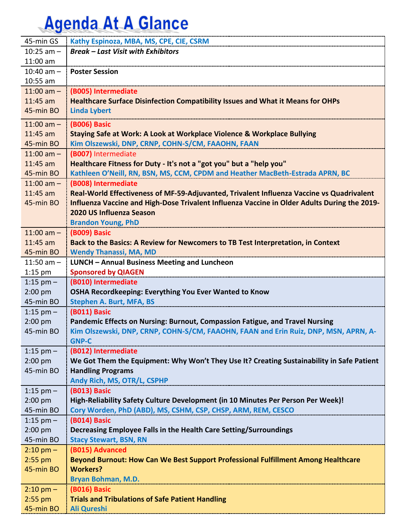| 45-min GS              | Kathy Espinoza, MBA, MS, CPE, CIE, CSRM                                                      |
|------------------------|----------------------------------------------------------------------------------------------|
| 10:25 $am -$           | <b>Break - Last Visit with Exhibitors</b>                                                    |
| $11:00$ am             |                                                                                              |
| $10:40$ am $-$         | <b>Poster Session</b>                                                                        |
| $10:55$ am             |                                                                                              |
| $11:00$ am $-$         | (B005) Intermediate                                                                          |
| $11:45$ am             | Healthcare Surface Disinfection Compatibility Issues and What it Means for OHPs              |
| 45-min BO              | <b>Linda Lybert</b>                                                                          |
| $11:00$ am $-$         | (B006) Basic                                                                                 |
| $11:45$ am             | Staying Safe at Work: A Look at Workplace Violence & Workplace Bullying                      |
| 45-min BO              | Kim Olszewski, DNP, CRNP, COHN-S/CM, FAAOHN, FAAN                                            |
| $11:00$ am $-$         | (B007) Intermediate                                                                          |
| $11:45$ am             | Healthcare Fitness for Duty - It's not a "got you" but a "help you"                          |
| 45-min BO              | Kathleen O'Neill, RN, BSN, MS, CCM, CPDM and Heather MacBeth-Estrada APRN, BC                |
| $11:00$ am $-$         | (B008) Intermediate                                                                          |
| $11:45$ am             | Real-World Effectiveness of MF-59-Adjuvanted, Trivalent Influenza Vaccine vs Quadrivalent    |
| 45-min BO              | Influenza Vaccine and High-Dose Trivalent Influenza Vaccine in Older Adults During the 2019- |
|                        | 2020 US Influenza Season                                                                     |
|                        | <b>Brandon Young, PhD</b>                                                                    |
| $11:00$ am $-$         | <b>(B009) Basic</b>                                                                          |
| $11:45$ am             | Back to the Basics: A Review for Newcomers to TB Test Interpretation, in Context             |
| 45-min BO              | <b>Wendy Thanassi, MA, MD</b>                                                                |
| 11:50 am $-$           | LUNCH - Annual Business Meeting and Luncheon                                                 |
| $1:15$ pm              | <b>Sponsored by QIAGEN</b>                                                                   |
| 1:15 pm $-$            | (B010) Intermediate                                                                          |
|                        |                                                                                              |
| $2:00$ pm              | OSHA Recordkeeping: Everything You Ever Wanted to Know                                       |
| 45-min BO              | <b>Stephen A. Burt, MFA, BS</b>                                                              |
| 1:15 pm $-$            | (B011) Basic                                                                                 |
| $2:00$ pm              | Pandemic Effects on Nursing: Burnout, Compassion Fatigue, and Travel Nursing                 |
| 45-min BO              | Kim Olszewski, DNP, CRNP, COHN-S/CM, FAAOHN, FAAN and Erin Ruiz, DNP, MSN, APRN, A-          |
|                        | <b>GNP-C</b>                                                                                 |
| 1:15 pm $-$            | (B012) Intermediate                                                                          |
| 2:00 pm                | We Got Them the Equipment: Why Won't They Use It? Creating Sustainability in Safe Patient    |
| 45-min BO              | <b>Handling Programs</b>                                                                     |
|                        | Andy Rich, MS, OTR/L, CSPHP                                                                  |
| 1:15 pm $-$            | <b>(B013) Basic</b>                                                                          |
| 2:00 pm                | High-Reliability Safety Culture Development (in 10 Minutes Per Person Per Week)!             |
| 45-min BO              | Cory Worden, PhD (ABD), MS, CSHM, CSP, CHSP, ARM, REM, CESCO                                 |
| 1:15 pm $-$            | (B014) Basic                                                                                 |
| $2:00$ pm              | Decreasing Employee Falls in the Health Care Setting/Surroundings                            |
| 45-min BO              | <b>Stacy Stewart, BSN, RN</b>                                                                |
| $2:10 \text{ pm} -$    | (B015) Advanced                                                                              |
| $2:55$ pm              | Beyond Burnout: How Can We Best Support Professional Fulfillment Among Healthcare            |
| 45-min BO              | <b>Workers?</b>                                                                              |
|                        | Bryan Bohman, M.D.                                                                           |
| $2:10 \text{ pm} -$    | (B016) Basic                                                                                 |
| $2:55$ pm<br>45-min BO | <b>Trials and Tribulations of Safe Patient Handling</b><br><b>Ali Qureshi</b>                |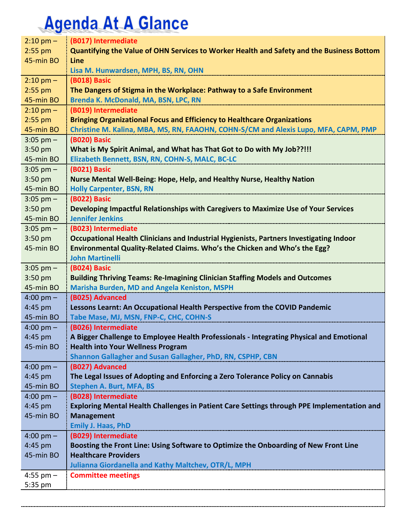| $2:10$ pm $-$        | (B017) Intermediate                                                                                         |
|----------------------|-------------------------------------------------------------------------------------------------------------|
| $2:55$ pm            | Quantifying the Value of OHN Services to Worker Health and Safety and the Business Bottom                   |
| 45-min BO            | Line                                                                                                        |
|                      | Lisa M. Hunwardsen, MPH, BS, RN, OHN                                                                        |
| $2:10$ pm $-$        | (B018) Basic                                                                                                |
| $2:55$ pm            | The Dangers of Stigma in the Workplace: Pathway to a Safe Environment                                       |
| 45-min BO            | Brenda K. McDonald, MA, BSN, LPC, RN                                                                        |
| $2:10 \text{ pm} -$  | (B019) Intermediate                                                                                         |
| $2:55$ pm            | <b>Bringing Organizational Focus and Efficiency to Healthcare Organizations</b>                             |
| 45-min BO            | Christine M. Kalina, MBA, MS, RN, FAAOHN, COHN-S/CM and Alexis Lupo, MFA, CAPM, PMP                         |
| $3:05$ pm $-$        | (B020) Basic                                                                                                |
| $3:50$ pm            | What is My Spirit Animal, and What has That Got to Do with My Job??!!!                                      |
| 45-min BO            | Elizabeth Bennett, BSN, RN, COHN-S, MALC, BC-LC                                                             |
| $3:05$ pm $-$        | (B021) Basic                                                                                                |
| $3:50$ pm            | Nurse Mental Well-Being: Hope, Help, and Healthy Nurse, Healthy Nation                                      |
| 45-min BO            | <b>Holly Carpenter, BSN, RN</b>                                                                             |
| $3:05$ pm $-$        | (B022) Basic                                                                                                |
| $3:50$ pm            | Developing Impactful Relationships with Caregivers to Maximize Use of Your Services                         |
| 45-min BO            | <b>Jennifer Jenkins</b>                                                                                     |
| $3:05$ pm $-$        | (B023) Intermediate                                                                                         |
| $3:50$ pm            | Occupational Health Clinicians and Industrial Hygienists, Partners Investigating Indoor                     |
| 45-min BO            | Environmental Quality-Related Claims. Who's the Chicken and Who's the Egg?                                  |
|                      | <b>John Martinelli</b>                                                                                      |
| $3:05$ pm $-$        | (B024) Basic                                                                                                |
| 3:50 pm              | <b>Building Thriving Teams: Re-Imagining Clinician Staffing Models and Outcomes</b>                         |
| 45-min BO            | Marisha Burden, MD and Angela Keniston, MSPH                                                                |
| $4:00 \text{ pm} -$  | (B025) Advanced                                                                                             |
| 4:45 pm              | Lessons Learnt: An Occupational Health Perspective from the COVID Pandemic                                  |
| 45-min BO            | Tabe Mase, MJ, MSN, FNP-C, CHC, COHN-S                                                                      |
| $4:00 \text{ pm} -$  | (B026) Intermediate                                                                                         |
| 4:45 pm              | A Bigger Challenge to Employee Health Professionals - Integrating Physical and Emotional                    |
| 45-min BO            | <b>Health into Your Wellness Program</b>                                                                    |
|                      | Shannon Gallagher and Susan Gallagher, PhD, RN, CSPHP, CBN                                                  |
| $4:00 \text{ pm} -$  | (B027) Advanced                                                                                             |
| 4:45 pm              | The Legal Issues of Adopting and Enforcing a Zero Tolerance Policy on Cannabis                              |
| 45-min BO            | <b>Stephen A. Burt, MFA, BS</b>                                                                             |
| $4:00 \text{ pm} -$  | (B028) Intermediate                                                                                         |
| 4:45 pm              | Exploring Mental Health Challenges in Patient Care Settings through PPE Implementation and                  |
| 45-min BO            | <b>Management</b>                                                                                           |
|                      | <b>Emily J. Haas, PhD</b>                                                                                   |
| $4:00 \text{ pm} -$  | (B029) Intermediate<br>Boosting the Front Line: Using Software to Optimize the Onboarding of New Front Line |
| 4:45 pm<br>45-min BO | <b>Healthcare Providers</b>                                                                                 |
|                      | Julianna Giordanella and Kathy Maltchev, OTR/L, MPH                                                         |
|                      |                                                                                                             |
| 4:55 pm $-$          | <b>Committee meetings</b>                                                                                   |
| 5:35 pm              |                                                                                                             |